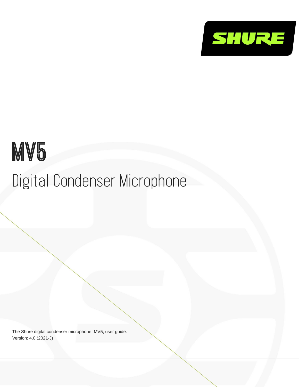

# MV<sub>5</sub> Digital Condenser Microphone

The Shure digital condenser microphone, MV5, user guide. Version: 4.0 (2021-J)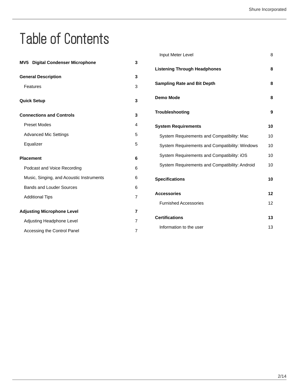## Table of Contents

| <b>MV5</b> Digital Condenser Microphone  | 3 |
|------------------------------------------|---|
| <b>General Description</b>               | 3 |
| Features                                 | 3 |
| <b>Quick Setup</b>                       | 3 |
| <b>Connections and Controls</b>          | 3 |
| <b>Preset Modes</b>                      | 4 |
| <b>Advanced Mic Settings</b>             | 5 |
| Equalizer                                | 5 |
| <b>Placement</b>                         | 6 |
| Podcast and Voice Recording              | 6 |
| Music, Singing, and Acoustic Instruments | 6 |
| <b>Bands and Louder Sources</b>          | 6 |
| <b>Additional Tips</b>                   | 7 |
| <b>Adjusting Microphone Level</b>        | 7 |
| Adjusting Headphone Level                | 7 |
| Accessing the Control Panel              | 7 |

| Input Meter Level                              | 8  |
|------------------------------------------------|----|
| <b>Listening Through Headphones</b>            | 8  |
| <b>Sampling Rate and Bit Depth</b>             | 8  |
| Demo Mode                                      | 8  |
| Troubleshooting                                | 9  |
| <b>System Requirements</b>                     | 10 |
| System Requirements and Compatibility: Mac     | 10 |
| System Requirements and Compatibility: Windows | 10 |
| System Requirements and Compatibility: iOS     | 10 |
| System Requirements and Compatibility: Android | 10 |
| <b>Specifications</b>                          | 10 |
| <b>Accessories</b>                             | 12 |
| <b>Furnished Accessories</b>                   | 12 |
| <b>Certifications</b>                          | 13 |
| Information to the user                        | 13 |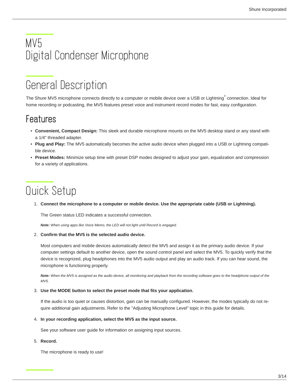## <span id="page-2-0"></span>MV5 Digital Condenser Microphone

## <span id="page-2-1"></span>General Description

The Shure MV5 microphone connects directly to a computer or mobile device over a USB or Lightning $\degree$  connection. Ideal for home recording or podcasting, the MV5 features preset voice and instrument record modes for fast, easy configuration.

## <span id="page-2-2"></span>Features

- **Convenient, Compact Design:** This sleek and durable microphone mounts on the MV5 desktop stand or any stand with a 1/4" threaded adapter.
- **Plug and Play:** The MV5 automatically becomes the active audio device when plugged into a USB or Lightning compatible device.
- **Preset Modes:** Minimize setup time with preset DSP modes designed to adjust your gain, equalization and compression for a variety of applications.

## <span id="page-2-3"></span>Quick Setup

1. **Connect the microphone to a computer or mobile device. Use the appropriate cable (USB or Lightning).**

The Green status LED indicates a successful connection.

*Note: When using apps like Voice Memo, the LED will not light until Record is engaged.*

#### 2. **Confirm that the MV5 is the selected audio device.**

Most computers and mobile devices automatically detect the MV5 and assign it as the primary audio device. If your computer settings default to another device, open the sound control panel and select the MV5. To quickly verify that the device is recognized, plug headphones into the MV5 audio output and play an audio track. If you can hear sound, the microphone is functioning properly.

*Note: When the MV5 is assigned as the audio device, all monitoring and playback from the recording software goes to the headphone output of the MV5.*

#### 3. **Use the MODE button to select the preset mode that fits your application.**

If the audio is too quiet or causes distortion, gain can be manually configured. However, the modes typically do not require additional gain adjustments. Refer to the "Adjusting Microphone Level" topic in this guide for details.

#### 4. **In your recording application, select the MV5 as the input source.**

See your software user guide for information on assigning input sources.

#### 5. **Record.**

<span id="page-2-4"></span>The microphone is ready to use!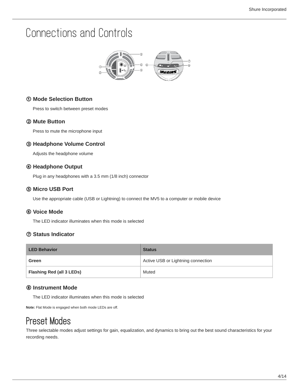## Connections and Controls



### ① **Mode Selection Button**

Press to switch between preset modes

### ② **Mute Button**

Press to mute the microphone input

### ③ **Headphone Volume Control**

Adjusts the headphone volume

### ④ **Headphone Output**

Plug in any headphones with a 3.5 mm (1/8 inch) connector

#### ⑤ **Micro USB Port**

Use the appropriate cable (USB or Lightning) to connect the MV5 to a computer or mobile device

#### ⑥ **Voice Mode**

The LED indicator illuminates when this mode is selected

### ⑦ **Status Indicator**

| <b>LED Behavior</b>       | <b>Status</b>                      |
|---------------------------|------------------------------------|
| Green                     | Active USB or Lightning connection |
| Flashing Red (all 3 LEDs) | Muted                              |

#### ⑧ **Instrument Mode**

The LED indicator illuminates when this mode is selected

**Note:** Flat Mode is engaged when both mode LEDs are off.

### <span id="page-3-0"></span>Preset Modes

Three selectable modes adjust settings for gain, equalization, and dynamics to bring out the best sound characteristics for your recording needs.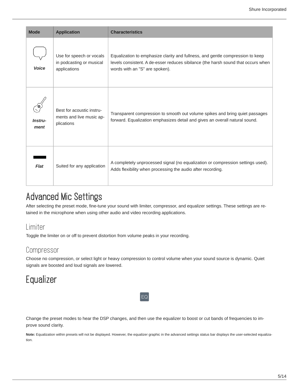| <b>Mode</b>     | <b>Application</b>                                                   | <b>Characteristics</b>                                                                                                                                                                                |
|-----------------|----------------------------------------------------------------------|-------------------------------------------------------------------------------------------------------------------------------------------------------------------------------------------------------|
| <b>Voice</b>    | Use for speech or vocals<br>in podcasting or musical<br>applications | Equalization to emphasize clarity and fullness, and gentle compression to keep<br>levels consistent. A de-esser reduces sibilance (the harsh sound that occurs when<br>words with an "S" are spoken). |
| Instru-<br>ment | Best for acoustic instru-<br>ments and live music ap-<br>plications  | Transparent compression to smooth out volume spikes and bring quiet passages<br>forward. Equalization emphasizes detail and gives an overall natural sound.                                           |
| Flat            | Suited for any application                                           | A completely unprocessed signal (no equalization or compression settings used).<br>Adds flexibility when processing the audio after recording.                                                        |

## <span id="page-4-0"></span>Advanced Mic Settings

After selecting the preset mode, fine-tune your sound with limiter, compressor, and equalizer settings. These settings are retained in the microphone when using other audio and video recording applications.

### Limiter

Toggle the limiter on or off to prevent distortion from volume peaks in your recording.

### Compressor

Choose no compression, or select light or heavy compression to control volume when your sound source is dynamic. Quiet signals are boosted and loud signals are lowered.

## <span id="page-4-1"></span>**Equalizer**

Change the preset modes to hear the DSP changes, and then use the equalizer to boost or cut bands of frequencies to improve sound clarity.

 $|\mathsf{EQ}|$ 

Note: Equalization within presets will not be displayed. However, the equalizer graphic in the advanced settings status bar displays the user-selected equalization.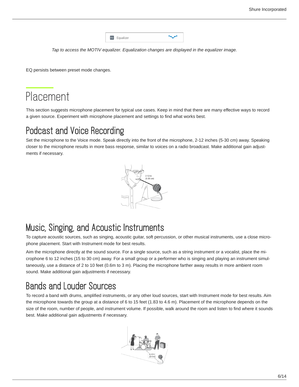| EQ | Equalizer |  |
|----|-----------|--|
|    |           |  |

*Tap to access the MOTIV equalizer. Equalization changes are displayed in the equalizer image.*

EQ persists between preset mode changes.

## <span id="page-5-0"></span>Placement

This section suggests microphone placement for typical use cases. Keep in mind that there are many effective ways to record a given source. Experiment with microphone placement and settings to find what works best.

### <span id="page-5-1"></span>Podcast and Voice Recording

Set the microphone to the Voice mode. Speak directly into the front of the microphone, 2-12 inches (5-30 cm) away. Speaking closer to the microphone results in more bass response, similar to voices on a radio broadcast. Make additional gain adjustments if necessary.



### <span id="page-5-2"></span>Music, Singing, and Acoustic Instruments

To capture acoustic sources, such as singing, acoustic guitar, soft percussion, or other musical instruments, use a close microphone placement. Start with Instrument mode for best results.

Aim the microphone directly at the sound source. For a single source, such as a string instrument or a vocalist, place the microphone 6 to 12 inches (15 to 30 cm) away. For a small group or a performer who is singing and playing an instrument simultaneously, use a distance of 2 to 10 feet (0.6m to 3 m). Placing the microphone farther away results in more ambient room sound. Make additional gain adjustments if necessary.

## <span id="page-5-3"></span>Bands and Louder Sources

To record a band with drums, amplified instruments, or any other loud sources, start with Instrument mode for best results. Aim the microphone towards the group at a distance of 6 to 15 feet (1.83 to 4.6 m). Placement of the microphone depends on the size of the room, number of people, and instrument volume. If possible, walk around the room and listen to find where it sounds best. Make additional gain adjustments if necessary.

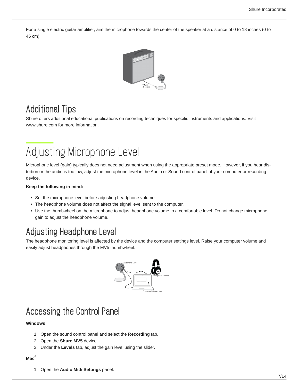For a single electric guitar amplifier, aim the microphone towards the center of the speaker at a distance of 0 to 18 inches (0 to 45 cm).



### <span id="page-6-0"></span>Additional Tips

Shure offers additional educational publications on recording techniques for specific instruments and applications. Visit www.shure.com for more information.

## <span id="page-6-1"></span>Adjusting Microphone Level

Microphone level (gain) typically does not need adjustment when using the appropriate preset mode. However, if you hear distortion or the audio is too low, adjust the microphone level in the Audio or Sound control panel of your computer or recording device.

#### **Keep the following in mind:**

- Set the microphone level before adjusting headphone volume.
- The headphone volume does not affect the signal level sent to the computer.
- Use the thumbwheel on the microphone to adjust headphone volume to a comfortable level. Do not change microphone gain to adjust the headphone volume.

### <span id="page-6-2"></span>Adjusting Headphone Level

The headphone monitoring level is affected by the device and the computer settings level. Raise your computer volume and easily adjust headphones through the MV5 thumbwheel.



## <span id="page-6-3"></span>Accessing the Control Panel

#### **Windows**

- 1. Open the sound control panel and select the **Recording** tab.
- 2. Open the **Shure MV5** device.
- 3. Under the **Levels** tab, adjust the gain level using the slider.

#### **Mac ®**

1. Open the **Audio Midi Settings** panel.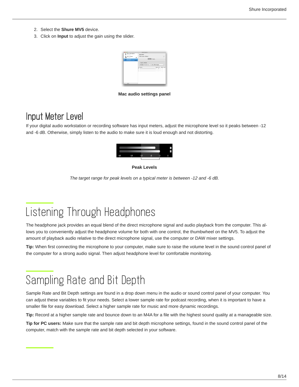- 2. Select the **Shure MV5** device.
- 3. Click on **Input** to adjust the gain using the slider.



**Mac audio settings panel**

### <span id="page-7-0"></span>Input Meter Level

If your digital audio workstation or recording software has input meters, adjust the microphone level so it peaks between -12 and -6 dB. Otherwise, simply listen to the audio to make sure it is loud enough and not distorting.



#### **Peak Levels**

*The target range for peak levels on a typical meter is between -12 and -6 dB.*

## <span id="page-7-1"></span>Listening Through Headphones

The headphone jack provides an equal blend of the direct microphone signal and audio playback from the computer. This allows you to conveniently adjust the headphone volume for both with one control, the thumbwheel on the MV5. To adjust the amount of playback audio relative to the direct microphone signal, use the computer or DAW mixer settings.

**Tip:** When first connecting the microphone to your computer, make sure to raise the volume level in the sound control panel of the computer for a strong audio signal. Then adjust headphone level for comfortable monitoring.

## <span id="page-7-2"></span>Sampling Rate and Bit Depth

Sample Rate and Bit Depth settings are found in a drop down menu in the audio or sound control panel of your computer. You can adjust these variables to fit your needs. Select a lower sample rate for podcast recording, when it is important to have a smaller file for easy download. Select a higher sample rate for music and more dynamic recordings.

**Tip:** Record at a higher sample rate and bounce down to an M4A for a file with the highest sound quality at a manageable size.

<span id="page-7-3"></span>**Tip for PC users:** Make sure that the sample rate and bit depth microphone settings, found in the sound control panel of the computer, match with the sample rate and bit depth selected in your software.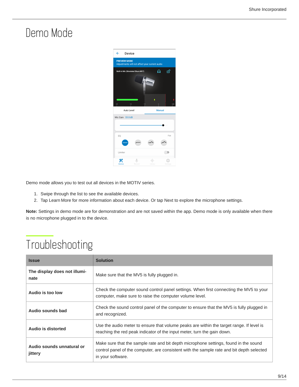## Demo Mode



Demo mode allows you to test out all devices in the MOTIV series.

- 1. Swipe through the list to see the available devices.
- 2. Tap Learn More for more information about each device. Or tap Next to explore the microphone settings.

**Note:** Settings in demo mode are for demonstration and are not saved within the app. Demo mode is only available when there is no microphone plugged in to the device.

## <span id="page-8-0"></span>Troubleshooting

| <b>Issue</b>                         | <b>Solution</b>                                                                                                                                                                                        |  |
|--------------------------------------|--------------------------------------------------------------------------------------------------------------------------------------------------------------------------------------------------------|--|
| The display does not illumi-<br>nate | Make sure that the MV5 is fully plugged in.                                                                                                                                                            |  |
| Audio is too low                     | Check the computer sound control panel settings. When first connecting the MV5 to your<br>computer, make sure to raise the computer volume level.                                                      |  |
| Audio sounds bad                     | Check the sound control panel of the computer to ensure that the MV5 is fully plugged in<br>and recognized.                                                                                            |  |
| Audio is distorted                   | Use the audio meter to ensure that volume peaks are within the target range. If level is<br>reaching the red peak indicator of the input meter, turn the gain down.                                    |  |
| Audio sounds unnatural or<br>jittery | Make sure that the sample rate and bit depth microphone settings, found in the sound<br>control panel of the computer, are consistent with the sample rate and bit depth selected<br>in your software. |  |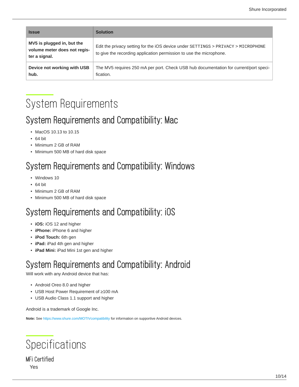| <b>Issue</b>                                                                | <b>Solution</b>                                                                                                                                          |
|-----------------------------------------------------------------------------|----------------------------------------------------------------------------------------------------------------------------------------------------------|
| MV5 is plugged in, but the<br>volume meter does not regis-<br>ter a signal. | Edit the privacy setting for the iOS device under SETTINGS > PRIVACY > MICROPHONE<br>to give the recording application permission to use the microphone. |
| Device not working with USB<br>hub.                                         | The MV5 requires 250 mA per port. Check USB hub documentation for current/port speci-<br>fication.                                                       |

## <span id="page-9-0"></span>System Requirements

### <span id="page-9-1"></span>System Requirements and Compatibility: Mac

- MacOS 10.13 to 10.15
- 64 bit
- Minimum 2 GB of RAM
- Minimum 500 MB of hard disk space

## <span id="page-9-2"></span>System Requirements and Compatibility: Windows

- Windows 10
- 64 bit
- Minimum 2 GB of RAM
- Minimum 500 MB of hard disk space

### <span id="page-9-3"></span>System Requirements and Compatibility: iOS

- **iOS:** iOS 12 and higher
- **iPhone:** iPhone 6 and higher
- **iPod Touch:** 6th gen
- **iPad:** iPad 4th gen and higher
- **iPad Mini:** iPad Mini 1st gen and higher

## <span id="page-9-4"></span>System Requirements and Compatibility: Android

Will work with any Android device that has:

- Android Oreo 8.0 and higher
- USB Host Power Requirement of ≥100 mA
- USB Audio Class 1.1 support and higher

Android is a trademark of Google Inc.

**Note:** See<https://www.shure.com/MOTIVcompatibility> for information on supportive Android devices.

<span id="page-9-5"></span>

MFi Certified Yes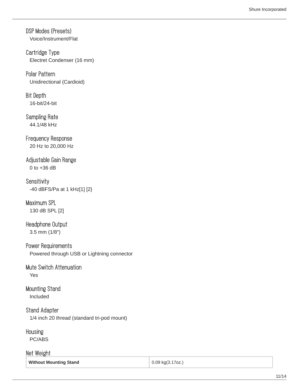DSP Modes (Presets) Voice/Instrument/Flat

Cartridge Type Electret Condenser (16 mm)

Polar Pattern Unidirectional (Cardioid)

Bit Depth 16-bit/24-bit

Sampling Rate 44.1/48 kHz

Frequency Response 20 Hz to 20,000 Hz

Adjustable Gain Range 0 to +36 dB

**Sensitivity** 40 dBFS/Pa at 1 kHz[1] [2}

Maximum SPL 130 dB SPL [2]

Headphone Output 3.5 mm (1/8″)

Power Requirements Powered through USB or Lightning connector

Mute Switch Attenuation Yes

Mounting Stand Included

Stand Adapter 1/4 inch 20 thread (standard tri-pod mount)

**Housing** 

PC/ABS

Net Weight

**Without Mounting Stand 1.1999 1.2009 1.2009 1.2009 1.2009 1.2009 1.2009 1.2009 1.2009 1.2009 1.2009 1.2009 1.2009 1.2009 1.2009 1.2009 1.2009 1.2009 1.2009 1.2009 1.2009 1.2009**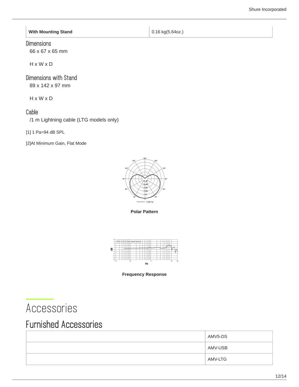**With Mounting Stand 1.16 kg**(5.64oz.)

### **Dimensions**

66 x 67 x 65 mm

H x W x D

### Dimensions with Stand

89 x 142 x 97 mm

H x W x D

### Cable

/1 m Lightning cable (LTG models only)

[1] 1 Pa=94 dB SPL

[2]At Minimum Gain, Flat Mode



**Polar Pattern**





## <span id="page-11-0"></span>Accessories

### <span id="page-11-1"></span>Furnished Accessories

| AMV5-DS |
|---------|
| AMV-USB |
| AMV-LTG |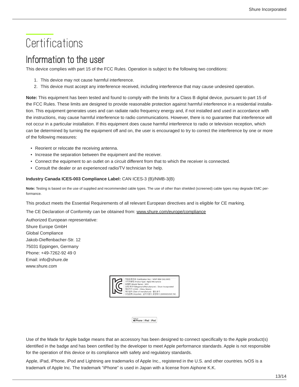## <span id="page-12-0"></span>**Certifications**

### <span id="page-12-1"></span>Information to the user

This device complies with part 15 of the FCC Rules. Operation is subject to the following two conditions:

- 1. This device may not cause harmful interference.
- 2. This device must accept any interference received, including interference that may cause undesired operation.

**Note:** This equipment has been tested and found to comply with the limits for a Class B digital device, pursuant to part 15 of the FCC Rules. These limits are designed to provide reasonable protection against harmful interference in a residential installation. This equipment generates uses and can radiate radio frequency energy and, if not installed and used in accordance with the instructions, may cause harmful interference to radio communications. However, there is no guarantee that interference will not occur in a particular installation. If this equipment does cause harmful interference to radio or television reception, which can be determined by turning the equipment off and on, the user is encouraged to try to correct the interference by one or more of the following measures:

- Reorient or relocate the receiving antenna.
- Increase the separation between the equipment and the receiver.
- Connect the equipment to an outlet on a circuit different from that to which the receiver is connected.
- Consult the dealer or an experienced radio/TV technician for help.

#### **Industry Canada ICES-003 Compliance Label:** CAN ICES-3 (B)/NMB-3(B)

**Note:** Testing is based on the use of supplied and recommended cable types. The use of other than shielded (screened) cable types may degrade EMC performance.

This product meets the Essential Requirements of all relevant European directives and is eligible for CE marking.

The CE Declaration of Conformity can be obtained from: www.shure.com/europe/compliance

Authorized European representative: Shure Europe GmbH Global Compliance Jakob-Dieffenbacher-Str. 12 75031 Eppingen, Germany Phone: +49-7262-92 49 0 Email: info@shure.de www.shure.com



Made for<br> *S***iPhone** | **iPad** | **iPod** 

Use of the Made for Apple badge means that an accessory has been designed to connect specifically to the Apple product(s) identified in the badge and has been certified by the developer to meet Apple performance standards. Apple is not responsible for the operation of this device or its compliance with safety and regulatory standards.

Apple, iPad, iPhone, iPod and Lightning are trademarks of Apple Inc., registered in the U.S. and other countries. tvOS is a trademark of Apple Inc. The trademark "iPhone" is used in Japan with a license from Aiphone K.K.